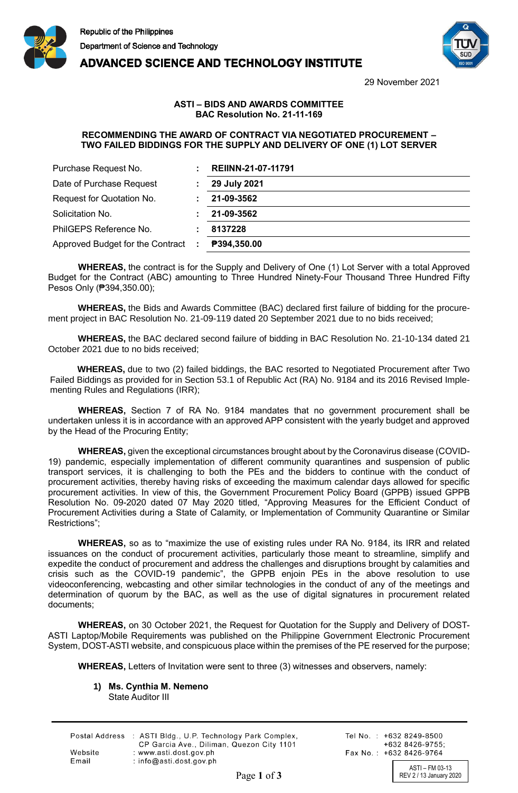



29 November 2021

## **ASTI – BIDS AND AWARDS COMMITTEE BAC Resolution No. 21-11-169**

**ADVANCED SCIENCE AND TECHNOLOGY INSTITUTE** 

## **RECOMMENDING THE AWARD OF CONTRACT VIA NEGOTIATED PROCUREMENT – TWO FAILED BIDDINGS FOR THE SUPPLY AND DELIVERY OF ONE (1) LOT SERVER**

| Purchase Request No.             |      | REIINN-21-07-11791 |
|----------------------------------|------|--------------------|
| Date of Purchase Request         |      | 29 July 2021       |
| Request for Quotation No.        |      | 21-09-3562         |
| Solicitation No.                 |      | 21-09-3562         |
| PhilGEPS Reference No.           |      | 8137228            |
| Approved Budget for the Contract | - 11 | P394,350.00        |

**WHEREAS,** the contract is for the Supply and Delivery of One (1) Lot Server with a total Approved Budget for the Contract (ABC) amounting to Three Hundred Ninety-Four Thousand Three Hundred Fifty Pesos Only (₱394,350.00);

**WHEREAS,** the Bids and Awards Committee (BAC) declared first failure of bidding for the procurement project in BAC Resolution No. 21-09-119 dated 20 September 2021 due to no bids received;

**WHEREAS,** the BAC declared second failure of bidding in BAC Resolution No. 21-10-134 dated 21 October 2021 due to no bids received;

**WHEREAS,** due to two (2) failed biddings, the BAC resorted to Negotiated Procurement after Two Failed Biddings as provided for in Section 53.1 of Republic Act (RA) No. 9184 and its 2016 Revised Implementing Rules and Regulations (IRR);

**WHEREAS,** Section 7 of RA No. 9184 mandates that no government procurement shall be undertaken unless it is in accordance with an approved APP consistent with the yearly budget and approved by the Head of the Procuring Entity;

**WHEREAS,** given the exceptional circumstances brought about by the Coronavirus disease (COVID-19) pandemic, especially implementation of different community quarantines and suspension of public transport services, it is challenging to both the PEs and the bidders to continue with the conduct of procurement activities, thereby having risks of exceeding the maximum calendar days allowed for specific procurement activities. In view of this, the Government Procurement Policy Board (GPPB) issued GPPB Resolution No. 09-2020 dated 07 May 2020 titled, "Approving Measures for the Efficient Conduct of Procurement Activities during a State of Calamity, or Implementation of Community Quarantine or Similar Restrictions";

**WHEREAS,** so as to "maximize the use of existing rules under RA No. 9184, its IRR and related issuances on the conduct of procurement activities, particularly those meant to streamline, simplify and expedite the conduct of procurement and address the challenges and disruptions brought by calamities and crisis such as the COVID-19 pandemic", the GPPB enjoin PEs in the above resolution to use videoconferencing, webcasting and other similar technologies in the conduct of any of the meetings and determination of quorum by the BAC, as well as the use of digital signatures in procurement related documents;

**WHEREAS,** on 30 October 2021, the Request for Quotation for the Supply and Delivery of DOST-ASTI Laptop/Mobile Requirements was published on the Philippine Government Electronic Procurement System, DOST-ASTI website, and conspicuous place within the premises of the PE reserved for the purpose;

**WHEREAS,** Letters of Invitation were sent to three (3) witnesses and observers, namely:

**1) Ms. Cynthia M. Nemeno** State Auditor III

|         | Postal Address : ASTI Bldg., U.P. Technology Park Complex, |
|---------|------------------------------------------------------------|
|         | CP Garcia Ave., Diliman, Quezon City 1101                  |
| Website | : www.asti.dost.gov.ph                                     |
| Email   | : $info@asti.dost.gov.ph$                                  |

Tel No.: +632 8249-8500  $+6328426-9755$ Fax No.: +632 8426-9764

ASTI – FM 03-13 Page 1 of 3 REV 2/13 January 2020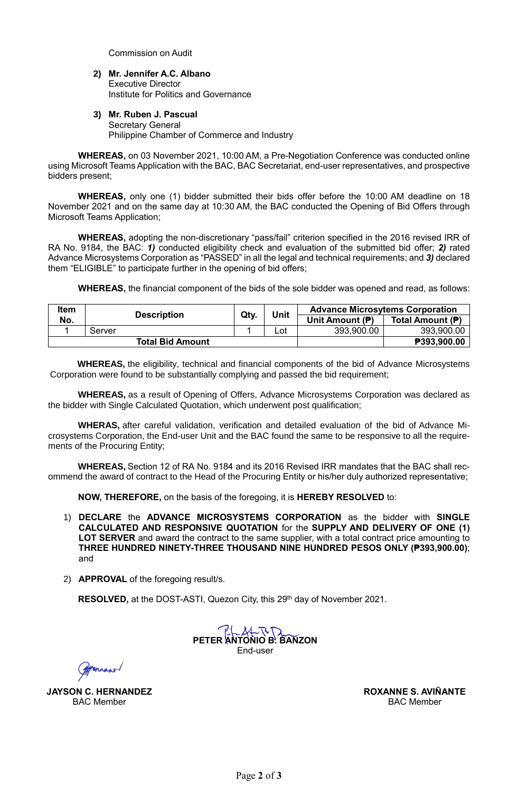Commission on Audit

- **2) Mr. Jennifer A.C. Albano** Executive Director Institute for Politics and Governance
- **3) Mr. Ruben J. Pascual** Secretary General Philippine Chamber of Commerce and Industry

**WHEREAS,** on 03 November 2021, 10:00 AM, a Pre-Negotiation Conference was conducted online using Microsoft Teams Application with the BAC, BAC Secretariat, end-user representatives, and prospective bidders present;

**WHEREAS,** only one (1) bidder submitted their bids offer before the 10:00 AM deadline on 18 November 2021 and on the same day at 10:30 AM, the BAC conducted the Opening of Bid Offers through Microsoft Teams Application;

**WHEREAS,** adopting the non-discretionary "pass/fail" criterion specified in the 2016 revised IRR of RA No. 9184, the BAC: *1)* conducted eligibility check and evaluation of the submitted bid offer; *2)* rated Advance Microsystems Corporation as "PASSED" in all the legal and technical requirements; and *3)* declared them "ELIGIBLE" to participate further in the opening of bid offers;

**WHEREAS,** the financial component of the bids of the sole bidder was opened and read, as follows:

| <b>Item</b> | <b>Description</b> |                         | Qty. | Unit | <b>Advance Microsytems Corporation</b> |                    |
|-------------|--------------------|-------------------------|------|------|----------------------------------------|--------------------|
| No.         |                    |                         |      |      | Unit Amount (P)                        | Total Amount (P)   |
|             | Server             |                         |      | Lot  | 393,900.00                             | 393,900.00         |
|             |                    | <b>Total Bid Amount</b> |      |      |                                        | <b>P393,900.00</b> |

**WHEREAS,** the eligibility, technical and financial components of the bid of Advance Microsystems Corporation were found to be substantially complying and passed the bid requirement;

**WHEREAS,** as a result of Opening of Offers, Advance Microsystems Corporation was declared as the bidder with Single Calculated Quotation, which underwent post qualification;

**WHERAS,** after careful validation, verification and detailed evaluation of the bid of Advance Microsystems Corporation, the End-user Unit and the BAC found the same to be responsive to all the requirements of the Procuring Entity;

**WHEREAS,** Section 12 of RA No. 9184 and its 2016 Revised IRR mandates that the BAC shall recommend the award of contract to the Head of the Procuring Entity or his/her duly authorized representative; 

**NOW, THEREFORE,** on the basis of the foregoing, it is **HEREBY RESOLVED** to:

- 1) **DECLARE** the **ADVANCE MICROSYSTEMS CORPORATION** as the bidder with **SINGLE CALCULATED AND RESPONSIVE QUOTATION** for the **SUPPLY AND DELIVERY OF ONE (1)**  LOT SERVER and award the contract to the same supplier, with a total contract price amounting to **THREE HUNDRED NINETY-THREE THOUSAND NINE HUNDRED PESOS ONLY (₱393,900.00)**; and
- 2) **APPROVAL** of the foregoing result/s.

RESOLVED, at the DOST-ASTI, Quezon City, this 29<sup>th</sup> day of November 2021.

**PETER ANTONIO B. BANZON** End-user

Enraps

**JAYSON C. HERNANDEZ** BAC Member

Digitally signed By autres of Div Aviñante Roxanne Sagun

**ROXANNE S. AVIÑANTE** BAC Member